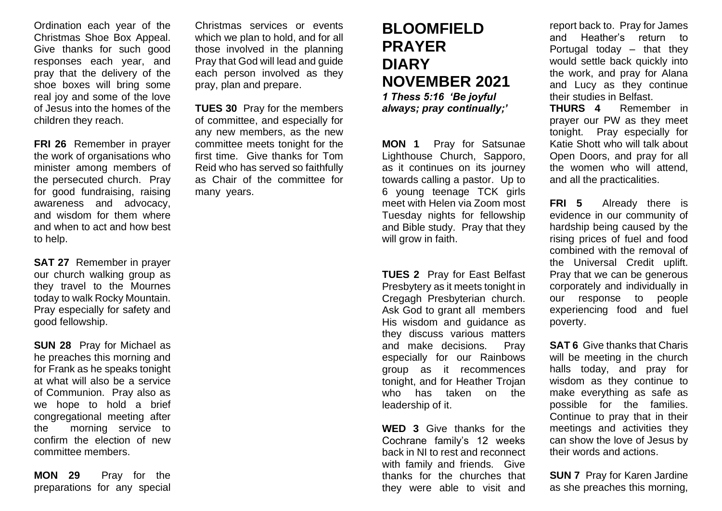Ordination each year of the Christmas Shoe Box Appeal. Give thanks for such good responses each year, and pray that the delivery of the shoe boxes will bring some real joy and some of the love of Jesus into the homes of the children they reach.

**FRI 26** Remember in prayer the work of organisations who minister among members of the persecuted church. Pray for good fundraising, raising awareness and advocacy, and wisdom for them where and when to act and how best to help.

**SAT 27** Remember in prayer our church walking group as they travel to the Mournes today to walk Rocky Mountain. Pray especially for safety and good fellowship.

**SUN 28** Pray for Michael as he preaches this morning and for Frank as he speaks tonight at what will also be a service of Communion. Pray also as we hope to hold a brief congregational meeting after the morning service to confirm the election of new committee members.

**MON 29** Pray for the preparations for any special

Christmas services or events which we plan to hold, and for all those involved in the planning Pray that God will lead and guide each person involved as they pray, plan and prepare.

**TUES 30** Pray for the members of committee, and especially for any new members, as the new committee meets tonight for the first time. Give thanks for Tom Reid who has served so faithfully as Chair of the committee for many years.

## **BLOOMFIELD PRAYER DIARY NOVEMBER 2021** *1 Thess 5:16 'Be joyful always; pray continually;'*

**MON 1** Pray for Satsunae Lighthouse Church, Sapporo, as it continues on its journey towards calling a pastor. Up to 6 young teenage TCK girls meet with Helen via Zoom most Tuesday nights for fellowship and Bible study. Pray that they will grow in faith.

**TUES 2** Pray for East Belfast Presbytery as it meets tonight in Cregagh Presbyterian church. Ask God to grant all members His wisdom and guidance as they discuss various matters and make decisions. Pray especially for our Rainbows group as it recommences tonight, and for Heather Trojan who has taken on the leadership of it.

**WED 3** Give thanks for the Cochrane family's 12 weeks back in NI to rest and reconnect with family and friends. Give thanks for the churches that they were able to visit and

report back to. Pray for James and Heather's return to Portugal today – that they would settle back quickly into the work, and pray for Alana and Lucy as they continue their studies in Belfast.

**THURS 4** Remember in prayer our PW as they meet tonight. Pray especially for Katie Shott who will talk about Open Doors, and pray for all the women who will attend, and all the practicalities.

**FRI 5** Already there is evidence in our community of hardship being caused by the rising prices of fuel and food combined with the removal of the Universal Credit uplift. Pray that we can be generous corporately and individually in our response to people experiencing food and fuel poverty.

**SAT 6** Give thanks that Charis will be meeting in the church halls today, and pray for wisdom as they continue to make everything as safe as possible for the families. Continue to pray that in their meetings and activities they can show the love of Jesus by their words and actions.

**SUN 7** Pray for Karen Jardine as she preaches this morning,